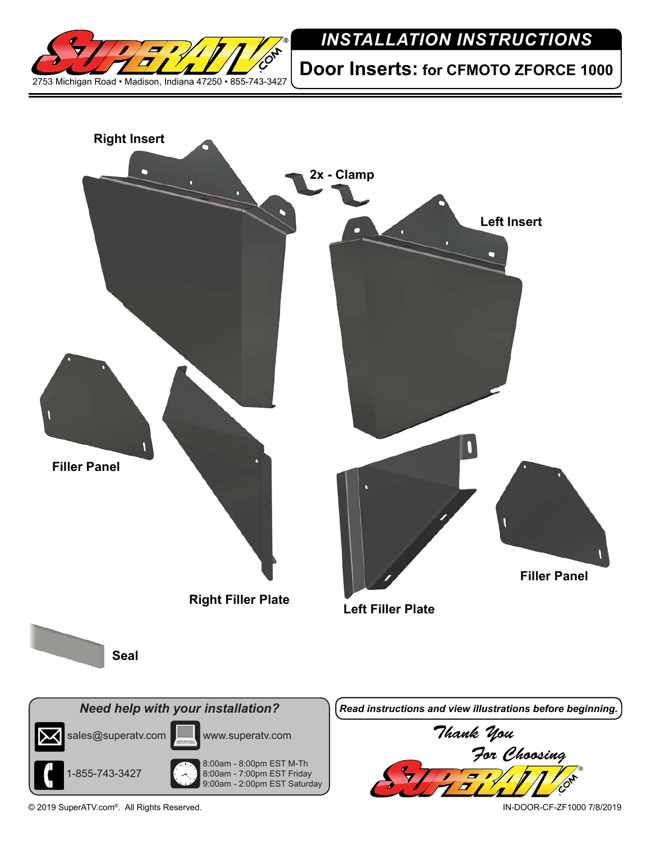

## *INSTALLATION INSTRUCTIONS*

**Door Inserts: for CFMOTO ZFORCE 1000**



© 2019 SuperATV.com®. All Rights Reserved. IN-DOOR-CF-ZF1000 7/8/2019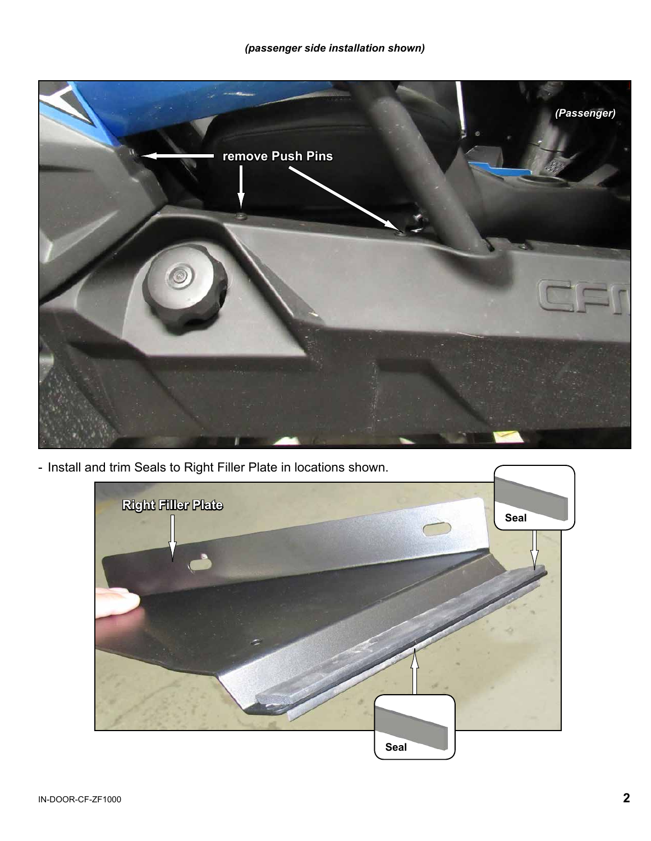

- Install and trim Seals to Right Filler Plate in locations shown.

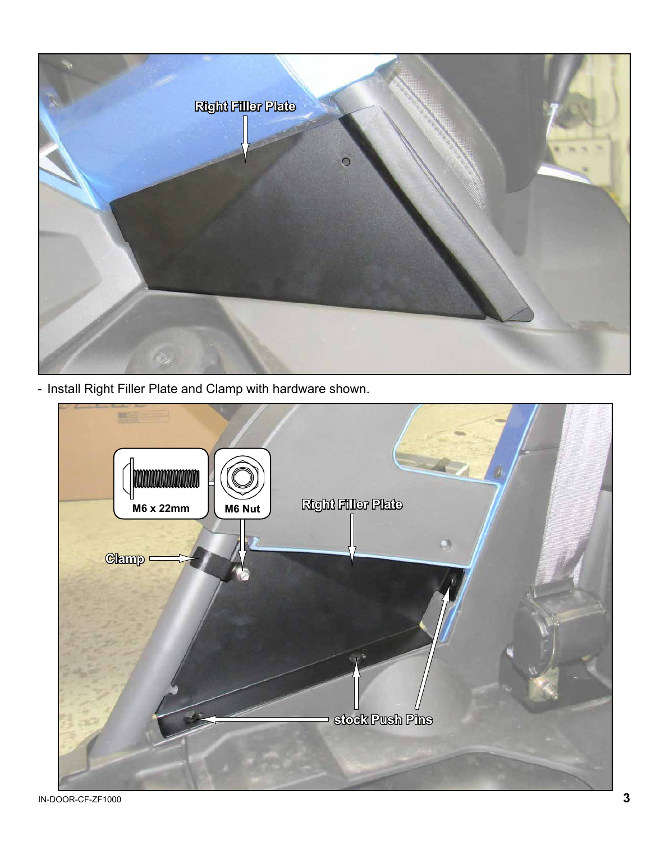

- Install Right Filler Plate and Clamp with hardware shown.

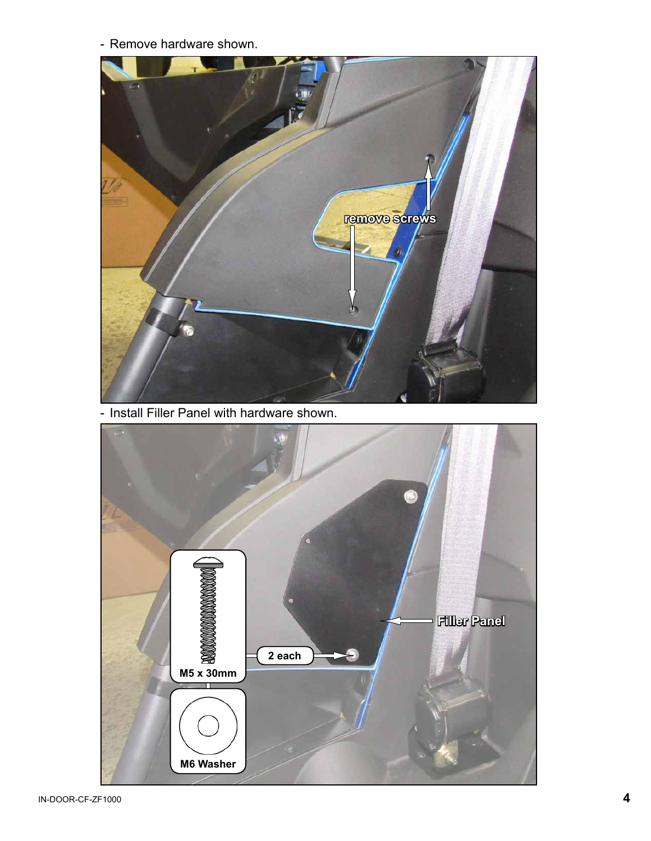- Remove hardware shown.



- Install Filler Panel with hardware shown.

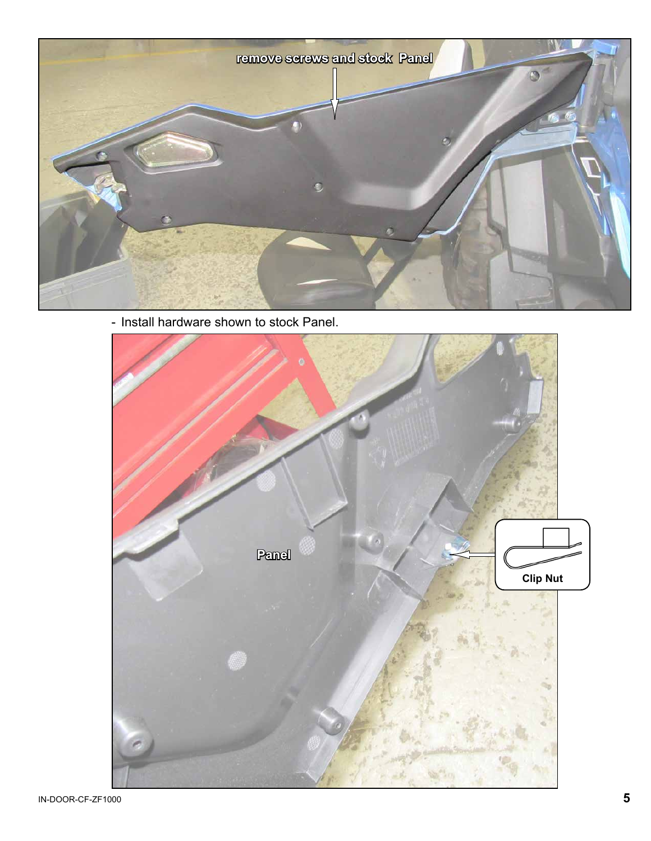

- Install hardware shown to stock Panel.

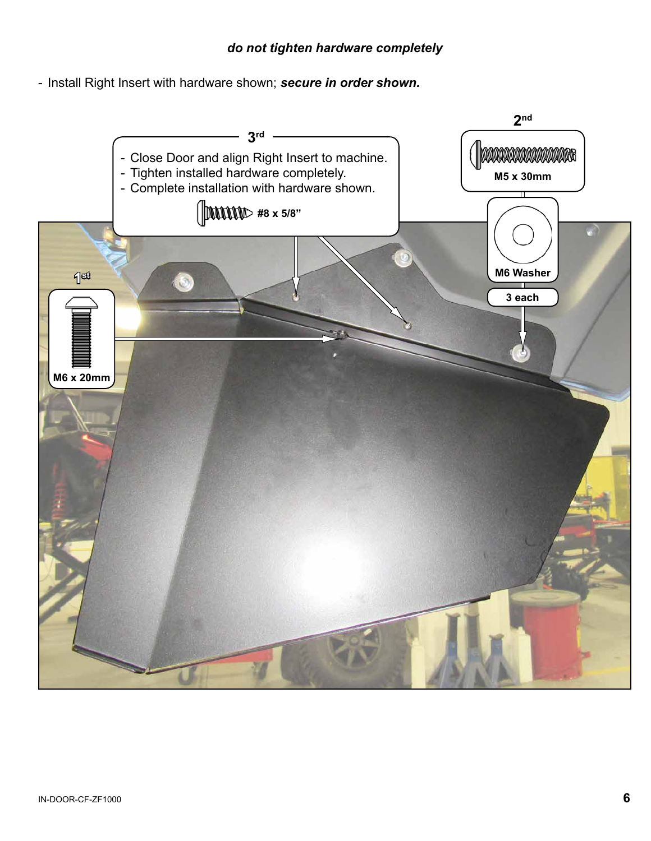## *do not tighten hardware completely*

- Install Right Insert with hardware shown; *secure in order shown.*